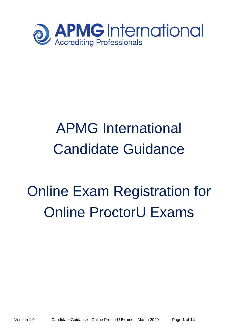

## APMG International Candidate Guidance

# Online Exam Registration for Online ProctorU Exams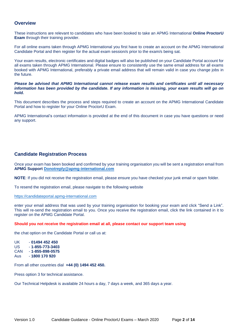### **Overview**

These instructions are relevant to candidates who have been booked to take an APMG International **Online ProctorU Exam** through their training provider.

For all online exams taken through APMG International you first have to create an account on the APMG International Candidate Portal and then register for the actual exam session/s prior to the exam/s being sat.

Your exam results, electronic certificates and digital badges will also be published on your Candidate Portal account for all exams taken through APMG International. Please ensure to consistently use the same email address for all exams booked with APMG International, preferably a private email address that will remain valid in case you change jobs in the future.

*Please be advised that APMG International cannot release exam results and certificates until all necessary information has been provided by the candidate. If any information is missing, your exam results will go on hold.* 

This document describes the process and steps required to create an account on the APMG International Candidate Portal and how to register for your Online ProctorU Exam.

APMG International's contact information is provided at the end of this document in case you have questions or need any support.

## **Candidate Registration Process**

Once your exam has been booked and confirmed by your training organisation you will be sent a registration email from **APMG Support [Donotreply@apmg-international.com](mailto:Donotreply@apmg-international.com)**

**NOTE**: If you did not receive the registration email, please ensure you have checked your junk email or spam folder.

To resend the registration email, please navigate to the following website

[https://candidateportal.apmg-international.com](https://candidateportal.apmg-international.com/)

enter your email address that was used by your training organisation for booking your exam and click "Send a Link". This will re-send the registration email to you. Once you receive the registration email, click the link contained in it to register on the APMG Candidate Portal.

#### **Should you not receive the registration email at all, please contact our support team using**

the chat option on the Candidate Portal or call us at:

UK - **01494 452 450** US - **1-855-773-3403** CAN - **1-855-898-0575** Aus - **1800 170 920**

From all other countries dial **+44 (0) 1494 452 450.**

Press option 3 for technical assistance.

Our Technical Helpdesk is available 24 hours a day, 7 days a week, and 365 days a year.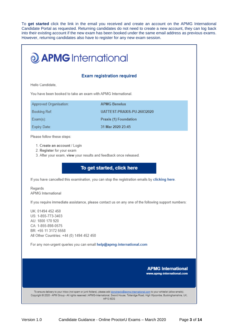To **get started** click the link in the email you received and create an account on the APMG International Candidate Portal as requested. Returning candidates do not need to create a new account, they can log back into their existing account if the new exam has been booked under the same email address as previous exams. However, returning candidates also have to register for any new exam session.

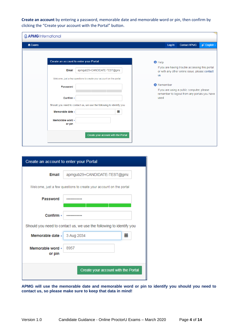**Create an account** by entering a password, memorable date and memorable word or pin, then confirm by clicking the "Create your account with the Portal" button.

| <b>JAPMG</b> International |                                                                     |                                                                                                                 |
|----------------------------|---------------------------------------------------------------------|-----------------------------------------------------------------------------------------------------------------|
| A Exams                    |                                                                     | Log In<br>g7 English -<br><b>Contact APMG</b>                                                                   |
|                            |                                                                     |                                                                                                                 |
|                            | Create an account to enter your Portal                              | $\bigcirc$ Help                                                                                                 |
| Email                      | apmgub29+CANDIDATE-TEST@gma                                         | If you are having trouble accessing this portal<br>or with any other online issue, please contact<br><b>us</b>  |
|                            | Welcome, just a few questions to create your account on the portal  |                                                                                                                 |
| Password                   |                                                                     | <b>6</b> Remember<br>If you are using a public computer, please<br>remember to logout from any portals you have |
| Confirm *                  |                                                                     | used                                                                                                            |
|                            | Should you need to contact us, we use the following to identify you |                                                                                                                 |
| Memorable date *           | 蘦                                                                   |                                                                                                                 |
| Memorable word *<br>or pin |                                                                     |                                                                                                                 |
|                            | Create your account with the Portal                                 |                                                                                                                 |

| Create an account to enter your Portal |                                                                     |   |
|----------------------------------------|---------------------------------------------------------------------|---|
| Email                                  | apmgub29+CANDIDATE-TEST@gma                                         |   |
|                                        | Welcome, just a few questions to create your account on the portal  |   |
| Password                               |                                                                     |   |
| Confirm $\star$                        |                                                                     |   |
|                                        | Should you need to contact us, we use the following to identify you |   |
| Memorable date *                       | 3 Aug 2034                                                          | 萹 |
| Memorable word *<br>or pin             | 8957                                                                |   |
|                                        | Create your account with the Portal                                 |   |

**APMG will use the memorable date and memorable word or pin to identify you should you need to contact us, so please make sure to keep that data in mind!**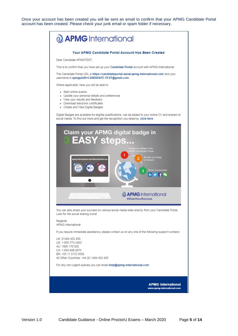Once your account has been created you will be sent an email to confirm that your APMG Candidate Portal account has been created. Please check your junk email or spam folder if necessary.

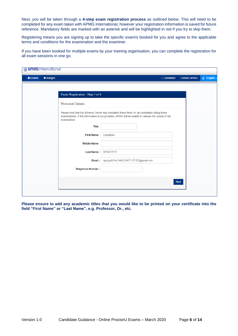Next, you will be taken through a **4-step exam registration process** as outlined below. This will need to be completed for any exam taken with APMG International, however your registration information is saved for future reference. Mandatory fields are marked with an asterisk and will be highlighted in red if you try to skip them.

Registering means you are signing up to take the specific exam/s booked for you and agree to the applicable terms and conditions for the examination and the examiner.

If you have been booked for multiple exams by your training organisation, you can complete the registration for all exam sessions in one go.

| <b>J APMG</b> International                        |                                 |                                                                                                                                                                                                      |             |                     |              |
|----------------------------------------------------|---------------------------------|------------------------------------------------------------------------------------------------------------------------------------------------------------------------------------------------------|-------------|---------------------|--------------|
| <b><math>#</math> Badges</b><br><del>n</del> Exams |                                 | Candidate                                                                                                                                                                                            |             | <b>Contact APMG</b> | gi English - |
|                                                    |                                 |                                                                                                                                                                                                      |             |                     |              |
|                                                    | Exam Registration - Step 1 of 4 |                                                                                                                                                                                                      |             |                     |              |
|                                                    | <b>Personal Details</b>         |                                                                                                                                                                                                      |             |                     |              |
|                                                    | examination.                    | Please note that the Scheme Owner has mandated these fields for all candidates sitting these<br>examinations. If this information is not provided, APMG will be unable to release the results of the |             |                     |              |
|                                                    | Title                           |                                                                                                                                                                                                      |             |                     |              |
|                                                    | First Name *                    | Candidate                                                                                                                                                                                            |             |                     |              |
|                                                    | <b>Middle Name</b>              |                                                                                                                                                                                                      |             |                     |              |
|                                                    | Last Name *                     | <b>APMGTEST</b>                                                                                                                                                                                      |             |                     |              |
|                                                    | Email *                         | apmgub29+CANDIDATE-TEST@gmail.com                                                                                                                                                                    |             |                     |              |
|                                                    | Telephone Number *              |                                                                                                                                                                                                      |             |                     |              |
|                                                    |                                 |                                                                                                                                                                                                      |             |                     |              |
|                                                    |                                 |                                                                                                                                                                                                      | <b>Next</b> |                     |              |
|                                                    |                                 |                                                                                                                                                                                                      |             |                     |              |

**Please ensure to add any academic titles that you would like to be printed on your certificate into the field "First Name" or "Last Name", e.g. Professor, Dr., etc.**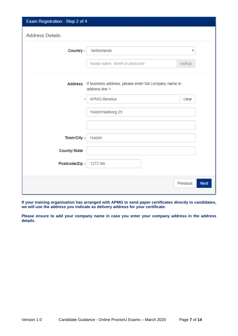| Exam Registration - Step 2 of 4 |                                                                                  |                         |
|---------------------------------|----------------------------------------------------------------------------------|-------------------------|
| <b>Address Details</b>          |                                                                                  |                         |
| Country *                       | <b>Netherlands</b>                                                               | v                       |
|                                 | house name, street or postcode                                                   | lookup                  |
|                                 | Address If business address, please enter full company name in<br>address line 1 |                         |
| ×                               | APMG-Benelux                                                                     | clear                   |
|                                 | Huizermaatweg 29                                                                 |                         |
|                                 |                                                                                  |                         |
| Town/City *                     | Huizen                                                                           |                         |
| <b>County/State</b>             |                                                                                  |                         |
| Postcode/Zip *                  | 1273 NA                                                                          |                         |
|                                 |                                                                                  | Previous<br><b>Next</b> |

**If your training organisation has arranged with APMG to send paper certificates directly to candidates, we will use the address you indicate as delivery address for your certificate.** 

**Please ensure to add your company name in case you enter your company address in the address details.**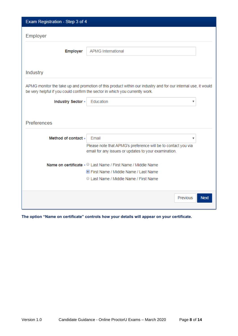| Exam Registration - Step 3 of 4 |                                                                                                                                                                                               |             |
|---------------------------------|-----------------------------------------------------------------------------------------------------------------------------------------------------------------------------------------------|-------------|
| Employer                        |                                                                                                                                                                                               |             |
| <b>Employer</b>                 | <b>APMG International</b>                                                                                                                                                                     |             |
|                                 |                                                                                                                                                                                               |             |
| Industry                        |                                                                                                                                                                                               |             |
|                                 | APMG monitor the take up and promotion of this product within our industry and for our internal use, it would<br>be very helpful if you could confirm the sector in which you currently work. |             |
| Industry Sector *               | Education<br>v                                                                                                                                                                                |             |
| Preferences                     |                                                                                                                                                                                               |             |
| Method of contact *             | Email<br>v                                                                                                                                                                                    |             |
|                                 | Please note that APMG's preference will be to contact you via<br>email for any issues or updates to your examination.                                                                         |             |
|                                 | Name on certificate * © Last Name / First Name / Middle Name                                                                                                                                  |             |
|                                 | <b>S</b> First Name / Middle Name / Last Name                                                                                                                                                 |             |
|                                 | C Last Name / Middle Name / First Name                                                                                                                                                        |             |
|                                 | Previous                                                                                                                                                                                      | <b>Next</b> |

**The option "Name on certificate" controls how your details will appear on your certificate.**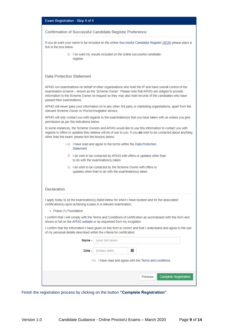|  |  |  | Exam Registration - Step 4 of 4 |  |
|--|--|--|---------------------------------|--|
|--|--|--|---------------------------------|--|

#### Confirmation of Successful Candidate Register Preference

If you do want your name to be included on the online Successful Candidate Register (SCR) please place a tick in the box below.

> I do want my results included on the online successful candidate register

#### **Data Protection Statement**

APMG run examinations on behalf of other organisations who hold the IP and have overall control of the examination scheme - known as the 'Scheme Owner'. Please note that APMG are obliged to provide information to the Scheme Owner on request so they may also hold records of the candidates who have passed their examinations

APMG will never pass your information on to any other 3rd party or marketing organisations, apart from the relevant Scheme Owner or Proctor/Invigilator service.

APMG will only contact you with regards to the examination(s) that you have taken with us unless you give permission as per the indications below.

In some instances, the Scheme Owners and APMG would like to use this information to contact you with regards to offers or updates they believe will be of use to you. If you do wish to be contacted about anything other than the exam, please tick the box(es) below.

- I have read and agree to the terms within the Data Protection Statement
- I do wish to be contacted by APMG with offers or updates other than to do with the examination(s) taken
- I do wish to be contacted by the Scheme Owner with offers or updates other than to do with the examination(s) taken

| Declaration |  |  |  |
|-------------|--|--|--|
|             |  |  |  |
|             |  |  |  |

I apply today to sit the examination(s) listed below for which I have booked and for the associated certification(s) upon achieving a pass in a relevant examination.

· Praxis (1) Foundation

I confirm that I will comply with the Terms and Conditions of certification as summarised with this form and shown in full on the APMG website or as requested from my invigilator.

I confirm that the information I have given on this form is correct and that I understand and agree to the use of my personal details described within the criteria for certification.

| Name $\star$ | (your full name) |                                                                  |  |
|--------------|------------------|------------------------------------------------------------------|--|
| Date $\star$ | (todays date)    | 盖                                                                |  |
|              |                  | $\star \Box$ I have read and agree with the Terms and conditions |  |
|              |                  |                                                                  |  |
|              |                  | <b>Complete Registration</b><br>Previous                         |  |
|              |                  |                                                                  |  |

Finish the registration process by clicking on the button **"Complete Registration"**.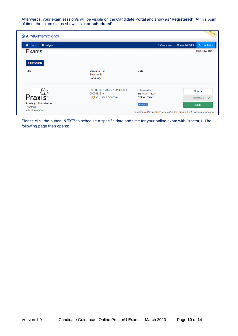Afterwards, your exam session/s will be visible on the Candidate Portal and show as "**Registered**". At this point of time, the exam status shows as "**not scheduled**".

| <b>JAPMG</b> International        |                                                     |                                     | Hal (AzUA)                                                                    |
|-----------------------------------|-----------------------------------------------------|-------------------------------------|-------------------------------------------------------------------------------|
| <b>A</b> Exams<br><b>*</b> Badges |                                                     | Candidate                           | ØÅ English ▼<br><b>Contact APMG</b>                                           |
| <b>Exams</b>                      |                                                     |                                     | 1000057104                                                                    |
| <b>Filter Exams</b>               |                                                     |                                     |                                                                               |
| <b>Title</b>                      | <b>Booking Ref</b><br><b>Session Id</b><br>Language | Date                                |                                                                               |
|                                   | UATTEST-PRAXIS-PU-26032020<br>2000031219            | not scheduled<br>Expiry Apr 1, 2020 | <b>Details</b>                                                                |
| Praxis <sup>®</sup>               | English (United Kingdom)                            | <b>Not Yet Taken</b>                | Registered $\blacktriangleright$                                              |
| Praxis (1) Foundation<br>ProctorU |                                                     | in 5 days                           | <b>Next</b>                                                                   |
| <b>APMG Benelux</b>               |                                                     |                                     | The green button will take you to the next step but will not start your exam. |

Please click the button '**NEXT'** to schedule a specific date and time for your online exam with ProctorU. The following page then opens: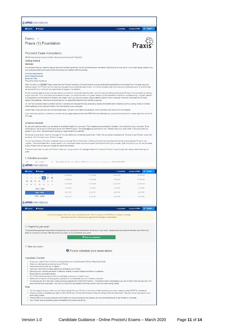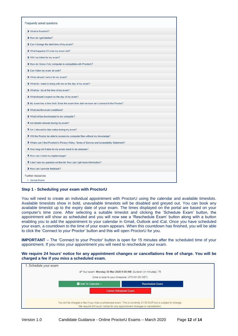| > What is ProctorU?                                                                         |  |
|---------------------------------------------------------------------------------------------|--|
| > How do I get started?                                                                     |  |
| > Can I change the start time of my exam?                                                   |  |
| > What happens if I miss my exam slot?                                                      |  |
| > Will I be billed for my exam?                                                             |  |
| > How do I know if my computer is compatible with ProctorU?                                 |  |
| > Can I take my exam at work?                                                               |  |
| > When should I arrive for my exam?                                                         |  |
| > What do I need to bring with me on the day of my exam?                                    |  |
| > What do I do at the time of my exam?                                                      |  |
| > What should I expect on the day of my exam?                                               |  |
| > My exam has a time limit. Does the exam time start as soon as I connect to the Proctor?   |  |
| > What are the exam conditions?                                                             |  |
| > What will be downloaded to my computer?                                                   |  |
| > Are breaks allowed during my exam?                                                        |  |
| > Am I allowed to take notes during my exam?                                                |  |
| > Will the Proctor be able to access my computer files without my knowledge?                |  |
| > Where can I find ProctorU's Privacy Policy, Terms of Service and Accessibility Statement? |  |
| > How long will it take for my exam result to be released?                                  |  |
| > How can I claim my digital badge?                                                         |  |
| I don't see my question on the list. How can I get more information?                        |  |
| > How can I provide feedback?                                                               |  |
| Further resources                                                                           |  |
| · Sample Exams                                                                              |  |

#### **Step 1 - Scheduling your exam with ProctorU**

You will need to create an individual appointment with ProctorU using the calendar and available timeslots. Available timeslots show in bold, unavailable timeslots will be disabled and greyed out. You can book any available timeslot up to the expiry date of your exam. The times displayed on the portal are based on your computer's time zone. After selecting a suitable timeslot and clicking the 'Schedule Exam' button, the appointment will show as scheduled and you will now see a 'Reschedule Exam' button along with a button enabling you to add the appointment to your calendar in Gmail, Outlook and iCal. Once you have scheduled your exam, a countdown to the time of your exam appears. When this countdown has finished, you will be able to click the 'Connect to your Proctor' button and this will open ProctorU for you.

**IMPORTANT** – The 'Connect to your Proctor' button is open for 15 minutes after the scheduled time of your appointment. If you miss your appointment you will need to reschedule your exam.

**We require 24 hours' notice for any appointment changes or cancellations free of charge. You will be charged a fee if you miss a scheduled exam.**

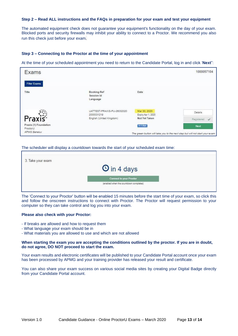#### **Step 2 – Read ALL instructions and the FAQs in preparation for your exam and test your equipment**

The automated equipment check does not guarantee your equipment's functionality on the day of your exam. Blocked ports and security firewalls may inhibit your ability to connect to a Proctor. We recommend you also run this check just before your exam*.*

#### **Step 3 – Connecting to the Proctor at the time of your appointment**

At the time of your scheduled appointment you need to return to the Candidate Portal, log in and click '**Next**":

| Exams                                                    |                                              |                                    | 1000057104                                                                            |
|----------------------------------------------------------|----------------------------------------------|------------------------------------|---------------------------------------------------------------------------------------|
| <b>Filter Exams</b>                                      |                                              |                                    |                                                                                       |
| Title                                                    | <b>Booking Ref</b><br>Session Id<br>Language | Date                               |                                                                                       |
|                                                          | UATTEST-PRAXIS-PU-26032020<br>2000031219     | Mar 30, 2020<br>Expiry Apr 1, 2020 | Details                                                                               |
| Praxis <sup>*</sup>                                      | English (United Kingdom)                     | Not Yet Taken                      | Registered                                                                            |
| Praxis (1) Foundation<br>ProctorU<br><b>APMG Benelux</b> |                                              | in 4 days                          | Next<br>The green button will take you to the next step but will not start your exam. |

#### The scheduler will display a countdown towards the start of your scheduled exam time:

| 3. Take your exam |                                        |  |
|-------------------|----------------------------------------|--|
|                   | <b>O</b> in 4 days                     |  |
|                   | <b>Connect to your Proctor</b>         |  |
|                   | (enabled when the countdown completes) |  |
|                   |                                        |  |

The 'Connect to your Proctor' button will be enabled 15 minutes before the start time of your exam, so click this and follow the onscreen instructions to connect with Proctor. The Proctor will request permission to your computer so they can take control and log you into your exam.

#### **Please also check with your Proctor:**

- ‐ If breaks are allowed and how to request them
- ‐ What language your exam should be in
- ‐ What materials you are allowed to use and which are not allowed

#### **When starting the exam you are accepting the conditions outlined by the proctor. If you are in doubt, do not agree, DO NOT proceed to start the exam.**

Your exam results and electronic certificates will be published to your Candidate Portal account once your exam has been processed by APMG and your training provider has released your result and certificate.

You can also share your exam success on various social media sites by creating your Digital Badge directly from your Candidate Portal account.